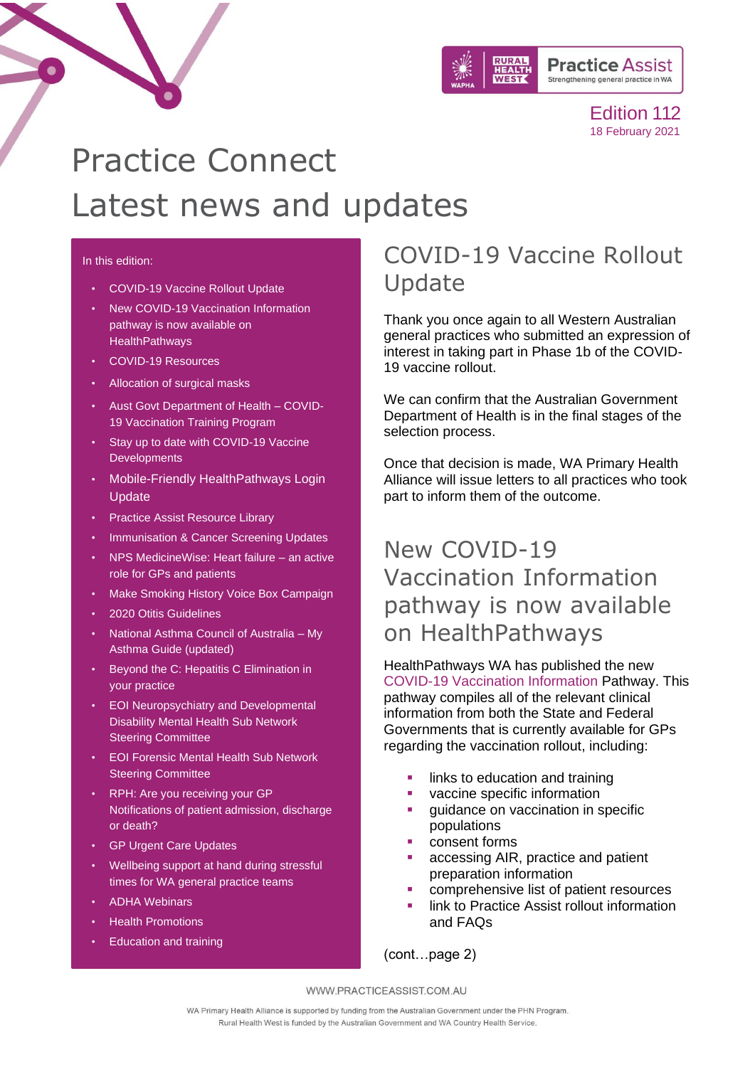

# Practice Connect Latest news and updates

#### In this edition:

- [COVID-19 Vaccine Rollout Update](#page-0-0)
- [New COVID-19 Vaccination Information](#page-0-1)  [pathway is now available on](#page-0-1)  **[HealthPathways](#page-0-1)**
- [COVID-19 Resources](#page-1-0)
- [Allocation of surgical masks](#page-2-0)
- [Aust Govt Department of Health –](#page-3-0) COVID-[19 Vaccination Training Program](#page-3-0)
- [Stay up to date with COVID-19 Vaccine](#page-4-0)  **[Developments](#page-4-0)**
- [Mobile-Friendly HealthPathways Login](#page-6-0)  [Update](#page-6-0)
- [Practice Assist Resource Library](#page-6-1)
- [Immunisation & Cancer Screening Updates](#page-7-0)
- [NPS MedicineWise: Heart failure –](#page-8-0) an active [role for GPs and patients](#page-8-0)
- [Make Smoking History Voice Box Campaign](#page-8-1)
- [2020 Otitis Guidelines](#page-9-0)
- [National Asthma Council of Australia –](#page-9-1) My [Asthma Guide \(updated\)](#page-9-1)
- [Beyond the C: Hepatitis C Elimination in](#page-9-2)  [your practice](#page-9-2)
- [EOI Neuropsychiatry and Developmental](#page-9-3)  [Disability Mental Health Sub Network](#page-9-3)  [Steering Committee](#page-9-3)
- [EOI Forensic Mental Health Sub Network](#page-10-0)  [Steering Committee](#page-10-0)
- RPH: Are you receiving your GP [Notifications of patient admission, discharge](#page-10-1)  [or death?](#page-10-1)
- [GP Urgent Care Updates](#page-11-0)
- [Wellbeing support at hand during stressful](#page-12-0)  [times for WA general practice teams](#page-12-0)
- [ADHA Webinars](#page-14-0)
- [Health Promotions](#page-15-0)
- [Education and training](#page-15-0)

## <span id="page-0-0"></span>COVID-19 Vaccine Rollout Update

Thank you once again to all Western Australian general practices who submitted an expression of interest in taking part in Phase 1b of the COVID-19 vaccine rollout.

We can confirm that the Australian Government Department of Health is in the final stages of the selection process.

Once that decision is made, WA Primary Health Alliance will issue letters to all practices who took part to inform them of the outcome.

## <span id="page-0-1"></span>New COVID-19 Vaccination Information pathway is now available on HealthPathways

HealthPathways WA has published the new [COVID-19 Vaccination Information](https://wa.communityhealthpathways.org/835663.htm) Pathway. This pathway compiles all of the relevant clinical information from both the State and Federal Governments that is currently available for GPs regarding the vaccination rollout, including:

- links to education and training
- vaccine specific information
- guidance on vaccination in specific populations
- consent forms
- accessing AIR, practice and patient preparation information
- comprehensive list of patient resources
- link to Practice Assist rollout information and FAQs

(cont…page 2)

WWW.PRACTICEASSIST.COM.AU

WA Primary Health Alliance is supported by funding from the Australian Government under the PHN Program. Rural Health West is funded by the Australian Government and WA Country Health Service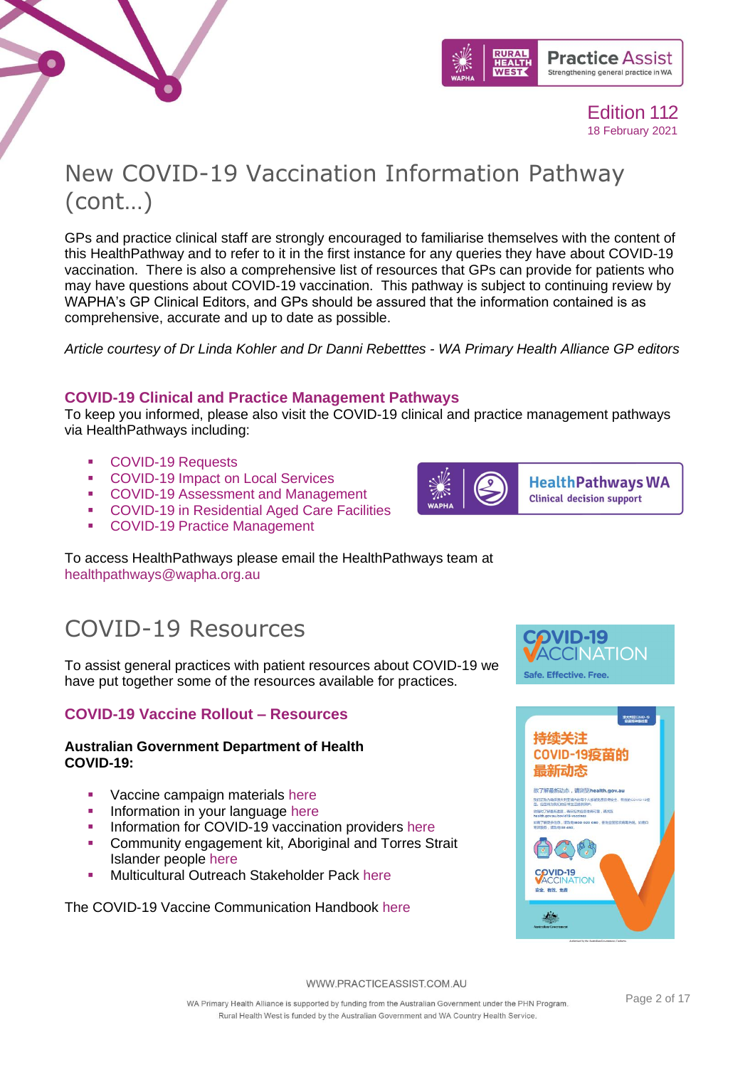

## New COVID-19 Vaccination Information Pathway (cont…)

GPs and practice clinical staff are strongly encouraged to familiarise themselves with the content of this HealthPathway and to refer to it in the first instance for any queries they have about COVID-19 vaccination. There is also a comprehensive list of resources that GPs can provide for patients who may have questions about COVID-19 vaccination. This pathway is subject to continuing review by WAPHA's GP Clinical Editors, and GPs should be assured that the information contained is as comprehensive, accurate and up to date as possible.

*Article courtesy of Dr Linda Kohler and Dr Danni Rebetttes - WA Primary Health Alliance GP editors*

### **COVID-19 Clinical and Practice Management Pathways**

To keep you informed, please also visit the COVID-19 clinical and practice management pathways via HealthPathways including:

■ [COVID-19 Requests](https://wa.communityhealthpathways.org/722376.htm)<br>■ COVID-19 Impact on

 $\bullet$ 

- **[COVID-19 Impact on Local Services](https://wa.communityhealthpathways.org/723635.htm)**
- [COVID-19 Assessment and Management](https://wa.communityhealthpathways.org/709101.htm)
- [COVID-19 in Residential Aged Care Facilities](https://wa.communityhealthpathways.org/732314.htm)
- [COVID-19 Practice Management](https://wa.communityhealthpathways.org/722358.htm)

To access HealthPathways please email the HealthPathways team at [healthpathways@wapha.org.au](mailto:healthpathways@wapha.org.au)

## <span id="page-1-0"></span>COVID-19 Resources

To assist general practices with patient resources about COVID-19 we have put together some of the resources available for practices.

### **COVID-19 Vaccine Rollout – Resources**

### **Australian Government Department of Health COVID-19:**

- **Vaccine campaign materials [here](https://www.health.gov.au/initiatives-and-programs/covid-19-vaccines/coronavirus-covid-19-vaccines-campaign-materials)**
- Information in your language [here](https://www.health.gov.au/initiatives-and-programs/covid-19-vaccines/covid-19-vaccine-information-in-your-language)
- Information for COVID-19 vaccination providers [here](https://www.health.gov.au/initiatives-and-programs/covid-19-vaccines/information-for-covid-19-vaccination-providers)
- Community engagement kit, Aboriginal and Torres Strait Islander people [here](https://www.practiceassist.com.au/PracticeAssist/media/Practice-Connect/Aboriginal-and-Torres-Strait-Islander-vaccine-community-engagement-kit_9-Feb.pdf)
- Multicultural Outreach Stakeholder Pack [here](https://www.practiceassist.com.au/PracticeAssist/media/Practice-Connect/COVID-19-Multicultural-Outreach-Stakeholder-Pack.pdf)

The COVID-19 Vaccine Communication Handbook [here](https://www.practiceassist.com.au/PracticeAssist/media/Practice-Connect/The-COVID-19-Vaccine-Communication-Handbook.pdf)



**HealthPathways WA Clinical decision support** 

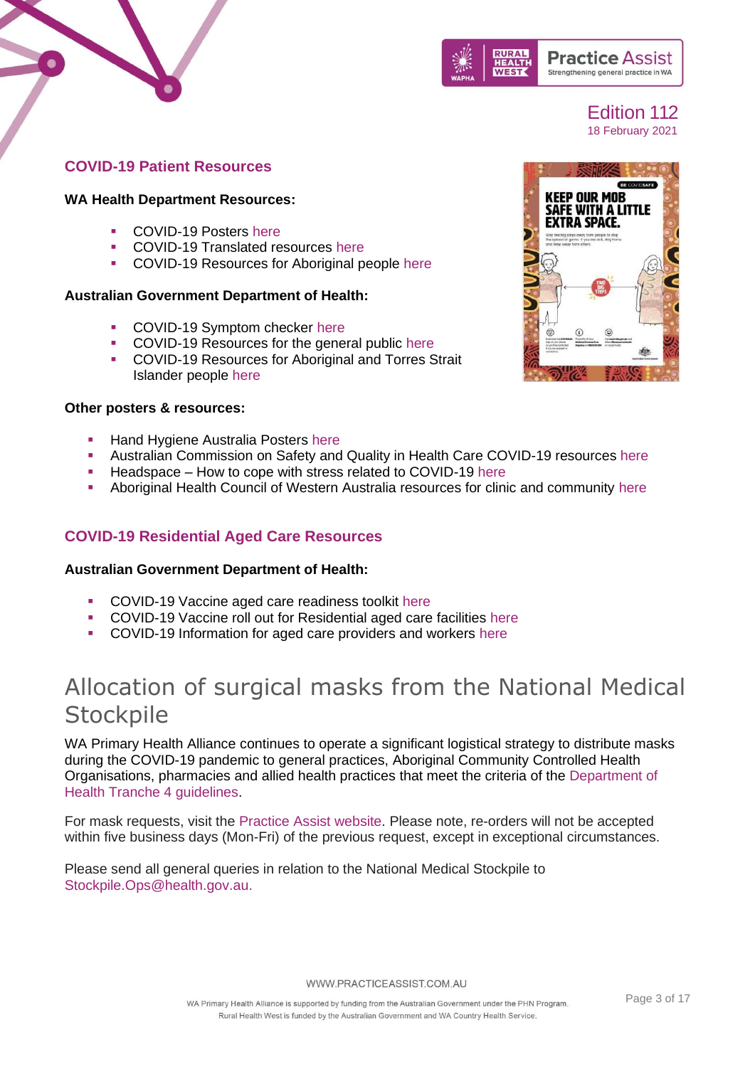



### **COVID-19 Patient Resources**

#### **WA Health Department Resources:**

- COVID-19 Posters [here](https://healthywa.wa.gov.au/Articles/A_E/Coronavirus/Coronavirus-resources)
- **COVID-19 Translated resources [here](https://healthywa.wa.gov.au/Articles/A_E/Coronavirus/Coronavirus-translated-resources)**<br>• COVID-19 Resources for Aboriginal p
- COVID-19 Resources for Aboriginal people [here](https://healthywa.wa.gov.au/Articles/A_E/Coronavirus/Coronavirus-information-for-Aboriginal-people)

### **Australian Government Department of Health:**

- COVID-19 Symptom checker [here](https://www.health.gov.au/resources/apps-and-tools/healthdirect-coronavirus-covid-19-symptom-checker)
- COVID-19 Resources for the general public [here](https://www.health.gov.au/resources/collections/novel-coronavirus-2019-ncov-resources)
- COVID-19 Resources for Aboriginal and Torres Strait Islander people [here](https://www.health.gov.au/resources/collections/coronavirus-covid-19-resources-for-aboriginal-and-torres-strait-islander-people-and-remote-communities)

### **Other posters & resources:**

- **EXEC** Hand Hygiene Australia Posters [here](https://www.hha.org.au/local-implementation/promotional-materials/posters)
- Australian Commission on Safety and Quality in Health Care COVID-19 resources [here](https://www.safetyandquality.gov.au/covid-19)
- Headspace How to cope with stress related to COVID-19 [here](https://headspace.org.au/young-people/how-to-cope-with-stress-related-to-covid-19/)
- Aboriginal Health Council of Western Australia resources for clinic and community [here](https://www.ahcwa.org.au/coronavirus-updates)

### **COVID-19 Residential Aged Care Resources**

#### **Australian Government Department of Health:**

- COVID-19 Vaccine aged care readiness toolkit [here](file://///wapha-fs01/shared/Primary%20Care%20I&D/Innovation/Transformation/Practice%20Assist/Practice%20Connect/Editions/180220_Edition_112/Australian%20Government%20Department%20of%20Health)
- COVID-19 Vaccine roll out for Residential aged care facilities [here](https://www.health.gov.au/news/covid-19-vaccine-information-and-resources-for-aged-care-providers)
- COVID-19 Information for aged care providers and workers [here](https://www.health.gov.au/initiatives-and-programs/covid-19-vaccines/getting-vaccinated-for-covid-19/information-for-aged-care-providers-and-workers-about-covid-19-vaccines)

## <span id="page-2-0"></span>Allocation of surgical masks from the National Medical **Stockpile**

WA Primary Health Alliance continues to operate a significant logistical strategy to distribute masks during the COVID-19 pandemic to general practices, Aboriginal Community Controlled Health Organisations, pharmacies and allied health practices that meet the criteria of the [Department of](https://www.health.gov.au/resources/publications/distribution-of-ppe-through-phns-tranche-4-surgical-masks-and-p2n95-respirators-for-general-practice-community-pharmacy-and-allied-health)  [Health Tranche 4 guidelines.](https://www.health.gov.au/resources/publications/distribution-of-ppe-through-phns-tranche-4-surgical-masks-and-p2n95-respirators-for-general-practice-community-pharmacy-and-allied-health)

For mask requests, visit the [Practice Assist website.](https://wapha.us11.list-manage.com/track/click?u=c973db7b85e56f4c3d0eaacee&id=7864a3aad1&e=f34f3bfedc) Please note, re-orders will not be accepted within five business days (Mon-Fri) of the previous request, except in exceptional circumstances.

Please send all general queries in relation to the National Medical Stockpile to [Stockpile.Ops@health.gov.au.](mailto:Stockpile.Ops@health.gov.au)

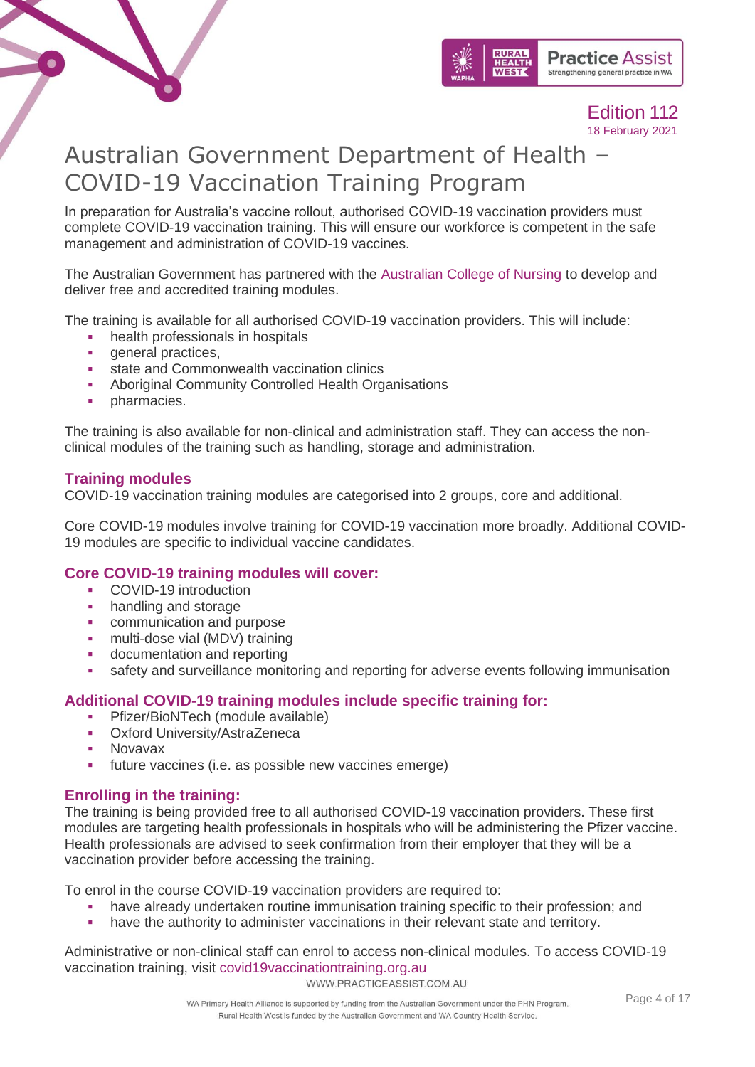



## <span id="page-3-0"></span>Australian Government Department of Health – COVID-19 Vaccination Training Program

In preparation for Australia's vaccine rollout, authorised COVID-19 vaccination providers must complete COVID-19 vaccination training. This will ensure our workforce is competent in the safe management and administration of COVID-19 vaccines.

The Australian Government has partnered with the [Australian College of Nursing](https://www.acn.edu.au/) to develop and deliver free and accredited training modules.

The training is available for all authorised COVID-19 vaccination providers. This will include:

- health professionals in hospitals
- general practices,
- **•** state and Commonwealth vaccination clinics
- Aboriginal Community Controlled Health Organisations
- **·** pharmacies.

The training is also available for non-clinical and administration staff. They can access the nonclinical modules of the training such as handling, storage and administration.

### **Training modules**

COVID-19 vaccination training modules are categorised into 2 groups, core and additional.

Core COVID-19 modules involve training for COVID-19 vaccination more broadly. Additional COVID-19 modules are specific to individual vaccine candidates.

### **Core COVID-19 training modules will cover:**

- COVID-19 introduction
- handling and storage
- communication and purpose
- **•** multi-dose vial (MDV) training
- documentation and reporting
- **•** safety and surveillance monitoring and reporting for adverse events following immunisation

### **Additional COVID-19 training modules include specific training for:**

- **•** Pfizer/BioNTech (module available)
- Oxford University/AstraZeneca
- **Novavax**
- future vaccines (i.e. as possible new vaccines emerge)

### **Enrolling in the training:**

The training is being provided free to all authorised COVID-19 vaccination providers. These first modules are targeting health professionals in hospitals who will be administering the Pfizer vaccine. Health professionals are advised to seek confirmation from their employer that they will be a vaccination provider before accessing the training.

To enrol in the course COVID-19 vaccination providers are required to:

- have already undertaken routine immunisation training specific to their profession; and
- have the authority to administer vaccinations in their relevant state and territory.

Administrative or non-clinical staff can enrol to access non-clinical modules. To access COVID-19 vaccination training, visit [covid19vaccinationtraining.org.au](http://www.covid19vaccinationtraining.org.au/)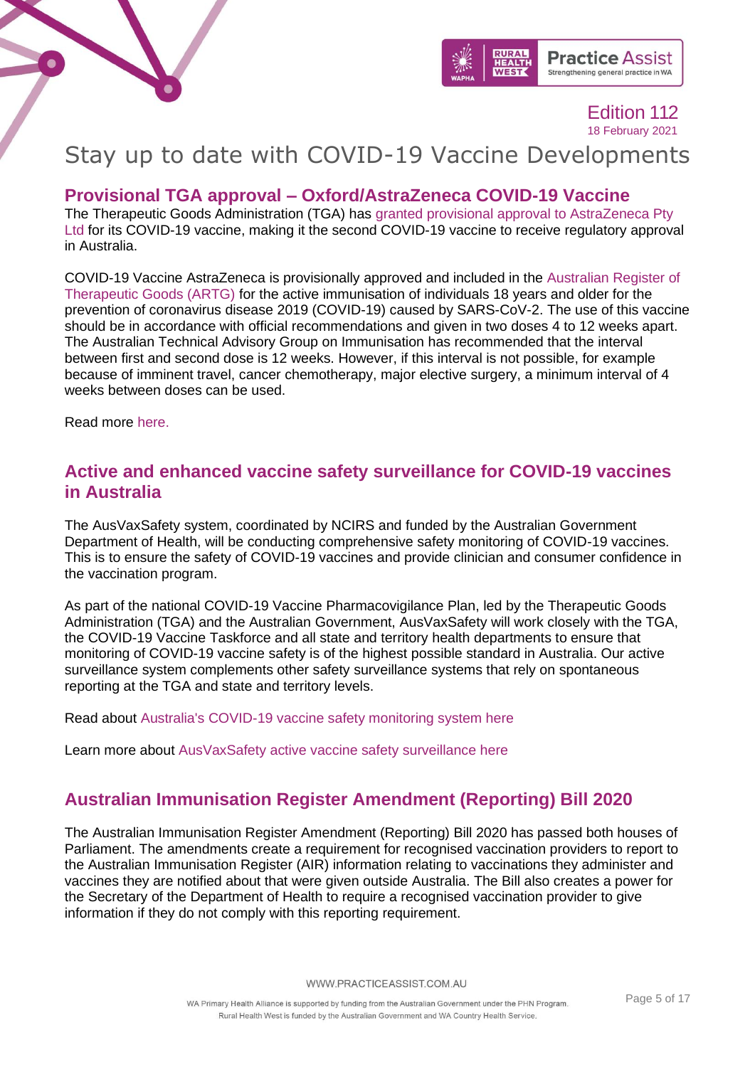



## <span id="page-4-0"></span>Stay up to date with COVID-19 Vaccine Developments

### **Provisional TGA approval – Oxford/AstraZeneca COVID-19 Vaccine**

The Therapeutic Goods Administration (TGA) has [granted provisional approval to AstraZeneca Pty](https://www.tga.gov.au/media-release/tga-provisionally-approves-astrazenecas-covid-19-vaccine)  [Ltd](https://www.tga.gov.au/media-release/tga-provisionally-approves-astrazenecas-covid-19-vaccine) for its COVID-19 vaccine, making it the second COVID-19 vaccine to receive regulatory approval in Australia.

COVID-19 Vaccine AstraZeneca is provisionally approved and included in the [Australian Register of](https://www.tga.gov.au/australian-register-therapeutic-goods)  [Therapeutic Goods \(ARTG\)](https://www.tga.gov.au/australian-register-therapeutic-goods) for the active immunisation of individuals 18 years and older for the prevention of coronavirus disease 2019 (COVID-19) caused by SARS-CoV-2. The use of this vaccine should be in accordance with official recommendations and given in two doses 4 to 12 weeks apart. The Australian Technical Advisory Group on Immunisation has recommended that the interval between first and second dose is 12 weeks. However, if this interval is not possible, for example because of imminent travel, cancer chemotherapy, major elective surgery, a minimum interval of 4 weeks between doses can be used.

Read more [here.](https://www.tga.gov.au/covid-19-vaccine-astrazeneca-chadox1-s)

### **Active and enhanced vaccine safety surveillance for COVID-19 vaccines in Australia**

The AusVaxSafety system, coordinated by NCIRS and funded by the Australian Government Department of Health, will be conducting comprehensive safety monitoring of COVID-19 vaccines. This is to ensure the safety of COVID-19 vaccines and provide clinician and consumer confidence in the vaccination program.

As part of the national COVID-19 Vaccine Pharmacovigilance Plan, led by the Therapeutic Goods Administration (TGA) and the Australian Government, AusVaxSafety will work closely with the TGA, the COVID-19 Vaccine Taskforce and all state and territory health departments to ensure that monitoring of COVID-19 vaccine safety is of the highest possible standard in Australia. Our active surveillance system complements other safety surveillance systems that rely on spontaneous reporting at the TGA and state and territory levels.

Read about [Australia's COVID-19 vaccine safety monitoring system here](https://linkprotect.cudasvc.com/url?a=https%3a%2f%2fncirs.cmail19.com%2ft%2ft-l-mztkhk-ejtjjtdtk-y%2f&c=E,1,3sdPMK9hDWzBPZxwfE-7nMXpe28ZqCSijxJrI9-3J5CjOI8f6sDOel8RZx5njmOHJ-Jv2dB6Ay9Jr8Bn_RmDYXUnKmGTnRF8i5ibubn91ZZT5XvSTQ,,&typo=1)

Learn more about [AusVaxSafety active vaccine safety surveillance here](https://linkprotect.cudasvc.com/url?a=https%3a%2f%2fncirs.cmail19.com%2ft%2ft-l-mztkhk-ejtjjtdtk-j%2f&c=E,1,XI8_S-n0yHWFVeyUy-W1iQUDIuz-kcSJwUM810_oHwHrYnOGXClDTLW-Hu52L3I1VUUTVpiHQZuzzTjis1CSxrUKrBHRS3QHF1aoQ4yaCHE5tLRPVr3PGQ,,&typo=1)

### **Australian Immunisation Register Amendment (Reporting) Bill 2020**

The Australian Immunisation Register Amendment (Reporting) Bill 2020 has passed both houses of Parliament. The amendments create a requirement for recognised vaccination providers to report to the Australian Immunisation Register (AIR) information relating to vaccinations they administer and vaccines they are notified about that were given outside Australia. The Bill also creates a power for the Secretary of the Department of Health to require a recognised vaccination provider to give information if they do not comply with this reporting requirement.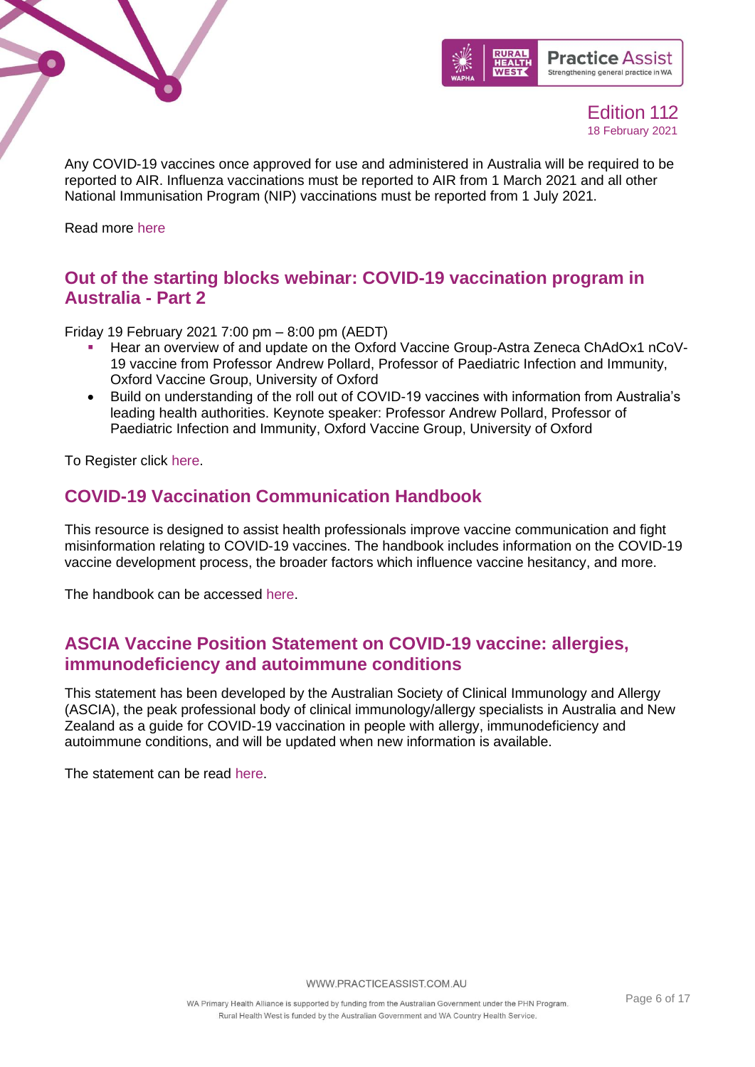



Any COVID-19 vaccines once approved for use and administered in Australia will be required to be reported to AIR. Influenza vaccinations must be reported to AIR from 1 March 2021 and all other National Immunisation Program (NIP) vaccinations must be reported from 1 July 2021.

Read more [here](https://www.health.gov.au/ministers/the-hon-greg-hunt-mp/media/building-a-stronger-australian-immunisation-register)

### **Out of the starting blocks webinar: COVID-19 vaccination program in Australia - Part 2**

Friday 19 February 2021 7:00 pm – 8:00 pm (AEDT)

- Hear an overview of and update on the Oxford Vaccine Group-Astra Zeneca ChAdOx1 nCoV-19 vaccine from Professor Andrew Pollard, Professor of Paediatric Infection and Immunity, Oxford Vaccine Group, University of Oxford
- Build on understanding of the roll out of COVID-19 vaccines with information from Australia's leading health authorities. Keynote speaker: Professor Andrew Pollard, Professor of Paediatric Infection and Immunity, Oxford Vaccine Group, University of Oxford

To Register click [here.](https://us02web.zoom.us/webinar/register/WN_u2gL37NsQnujP4S3FWr0cg)

### **COVID-19 Vaccination Communication Handbook**

This resource is designed to assist health professionals improve vaccine communication and fight misinformation relating to COVID-19 vaccines. The handbook includes information on the COVID-19 vaccine development process, the broader factors which influence vaccine hesitancy, and more.

The handbook can be accessed [here.](https://apna.asn.au/files/DAM/The%20COVID-19%20Vaccine%20Communication%20Handbook.pdf)

### **ASCIA Vaccine Position Statement on COVID-19 vaccine: allergies, immunodeficiency and autoimmune conditions**

This statement has been developed by the Australian Society of Clinical Immunology and Allergy (ASCIA), the peak professional body of clinical immunology/allergy specialists in Australia and New Zealand as a guide for COVID-19 vaccination in people with allergy, immunodeficiency and autoimmune conditions, and will be updated when new information is available.

The statement can be read [here.](https://www.allergy.org.au/hp/papers/ascia-hp-position-statement-covid-19-vaccination)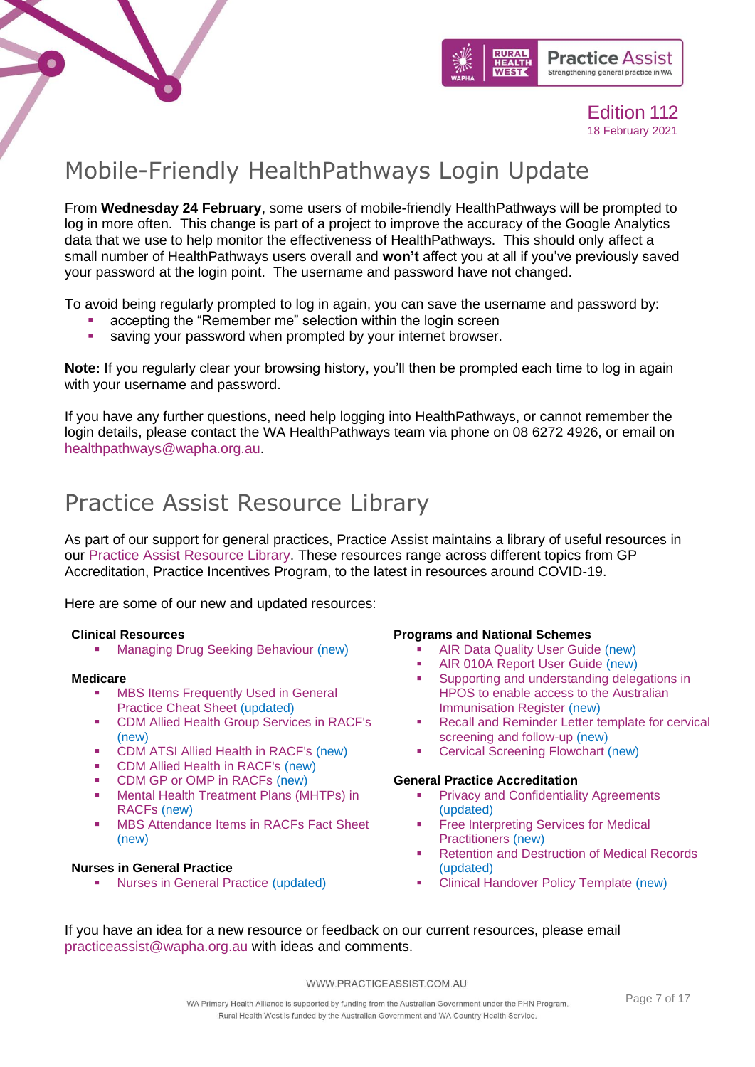



## <span id="page-6-0"></span>Mobile-Friendly HealthPathways Login Update

From **Wednesday 24 February**, some users of mobile-friendly HealthPathways will be prompted to log in more often. This change is part of a project to improve the accuracy of the Google Analytics data that we use to help monitor the effectiveness of HealthPathways. This should only affect a small number of HealthPathways users overall and **won't** affect you at all if you've previously saved your password at the login point. The username and password have not changed.

To avoid being regularly prompted to log in again, you can save the username and password by:

- accepting the "Remember me" selection within the login screen
- saving your password when prompted by your internet browser.

**Note:** If you regularly clear your browsing history, you'll then be prompted each time to log in again with your username and password.

If you have any further questions, need help logging into HealthPathways, or cannot remember the login details, please contact the WA HealthPathways team via phone on 08 6272 4926, or email on [healthpathways@wapha.org.au.](mailto:healthpathways@wapha.org.au)

## <span id="page-6-1"></span>Practice Assist Resource Library

As part of our support for general practices, Practice Assist maintains a library of useful resources in our [Practice Assist Resource Library.](https://www.practiceassist.com.au/Resource-Library) These resources range across different topics from GP Accreditation, Practice Incentives Program, to the latest in resources around COVID-19.

Here are some of our new and updated resources:

#### **Clinical Resources**

**[Managing Drug Seeking Behaviour](https://www.practiceassist.com.au/PracticeAssist/media/ResourceLibrary/Clinical%20Resources/Managing-Drug-Seeking-Behaviour-Fact-Sheet-V2-201201.pdf) (new)** 

#### **Medicare**

- **MBS Items Frequently Used in General** [Practice Cheat Sheet](https://www.practiceassist.com.au/PracticeAssist/media/ResourceLibrary/Medicare%20Benefits%20Schedule/MBS-Items-Frequently-Used-in-General-Practice-Cheat-Sheet-V5-210114_1.pdf) (updated)
- [CDM Allied Health Group Services in RACF's](https://www.practiceassist.com.au/PracticeAssist/media/ResourceLibrary/Medicare%20Benefits%20Schedule/CDM-Allied-Health-Group-Services-in-RACFs-Fact-Sheet-V1-201222.pdf) (new)
- [CDM ATSI Allied Health in RACF's](https://www.practiceassist.com.au/PracticeAssist/media/ResourceLibrary/Medicare%20Benefits%20Schedule/CDM-ATSI-Allied-Health-in-RACFs-Fact-Sheet-V1-201222.pdf) (new)
- [CDM Allied Health in RACF's](https://www.practiceassist.com.au/PracticeAssist/media/ResourceLibrary/Medicare%20Benefits%20Schedule/CDM-Allied-Health-in-RACFs-Fact-Sheet-V1-201222.pdf) (new)
- [CDM GP or OMP in RACFs](https://www.practiceassist.com.au/PracticeAssist/media/ResourceLibrary/Medicare%20Benefits%20Schedule/CDM-GP-or-OMP-in-RACFs-Fact-Sheet-V1-201222.pdf) (new)
- Mental Health Treatment Plans (MHTPs) in [RACFs](https://www.practiceassist.com.au/PracticeAssist/media/ResourceLibrary/Medicare%20Benefits%20Schedule/MHTPs-in-RACFs-Fact-Sheet-V1-201222_1.pdf) (new)
- **[MBS Attendance Items in RACFs Fact Sheet](https://www.practiceassist.com.au/PracticeAssist/media/ResourceLibrary/Medicare%20Benefits%20Schedule/MBS-Attendance-Items-in-RACFs-Fact-Sheet-210114.pdf)** (new)

#### **Nurses in General Practice**

**[Nurses in General Practice](https://www.practiceassist.com.au/PracticeAssist/media/ResourceLibrary/Nurses%20in%20general%20practice/Employing-a-Nurse-in-a-General-Practice-Fact-Sheet-V3-201201.pdf) (updated)** 

#### **Programs and National Schemes**

- **[AIR Data Quality User Guide](https://www.practiceassist.com.au/PracticeAssist/media/ResourceLibrary/Programs%20and%20National%20Schemes/AIR-Data-Quality-User-Guide-V1-0-Nov-20.pdf) (new)**
- [AIR 010A Report User Guide](https://www.practiceassist.com.au/PracticeAssist/media/ResourceLibrary/Programs%20and%20National%20Schemes/AIR-010A-Report-User-Guide-Nov-2020-V1-0.pdf) (new)
- Supporting and understanding delegations in [HPOS to enable access to the Australian](https://www.practiceassist.com.au/PracticeAssist/media/ResourceLibrary/Programs%20and%20National%20Schemes/HPOS-Supporting-providers_December-2020_Final_0.pdf)  [Immunisation Register](https://www.practiceassist.com.au/PracticeAssist/media/ResourceLibrary/Programs%20and%20National%20Schemes/HPOS-Supporting-providers_December-2020_Final_0.pdf) (new)
- Recall and Reminder Letter template for cervical [screening and follow-up](https://www.practiceassist.com.au/PracticeAssist/media/ResourceLibrary/Programs%20and%20National%20Schemes/200206-Recall-and-reminder-letter-templates-for-cervical-screening-and-follow-up-(January-2020).pdf) (new)
- **[Cervical Screening Flowchart](https://www.practiceassist.com.au/PracticeAssist/media/ResourceLibrary/Programs%20and%20National%20Schemes/201201-Cervical-Screening-Pathway.pdf) (new)**

#### **General Practice Accreditation**

- **[Privacy and Confidentiality Agreements](https://www.practiceassist.com.au/PracticeAssist/media/ResourceLibrary/General%20Practice%20Accreditation/Privacy-and-Confidentiality-Agreements-Fact-Sheet-V2-201109.pdf)** (updated)
- **Free Interpreting Services for Medical** [Practitioners](https://www.practiceassist.com.au/PracticeAssist/media/ResourceLibrary/General%20Practice%20Accreditation/Free-Interpreting-Services-for-Medical-Practitioners-Fact-Sheet-V1-201118.pdf) (new)
- **[Retention and Destruction of Medical Records](https://www.practiceassist.com.au/PracticeAssist/media/ResourceLibrary/General%20Practice%20Accreditation/Retention-and-Destruction-of-Medical-Records-Fact-Sheet-V2-201104.pdf)** (updated)
- **[Clinical Handover Policy Template](https://www.practiceassist.com.au/PracticeAssist/media/ResourceLibrary/General%20Practice%20Accreditation/Clinical-Handover-Policy-Template-V1-201118-Editable.pdf) (new)**

If you have an idea for a new resource or feedback on our current resources, please email [practiceassist@wapha.org.au](mailto:practiceassist@wapha.org.au) with ideas and comments.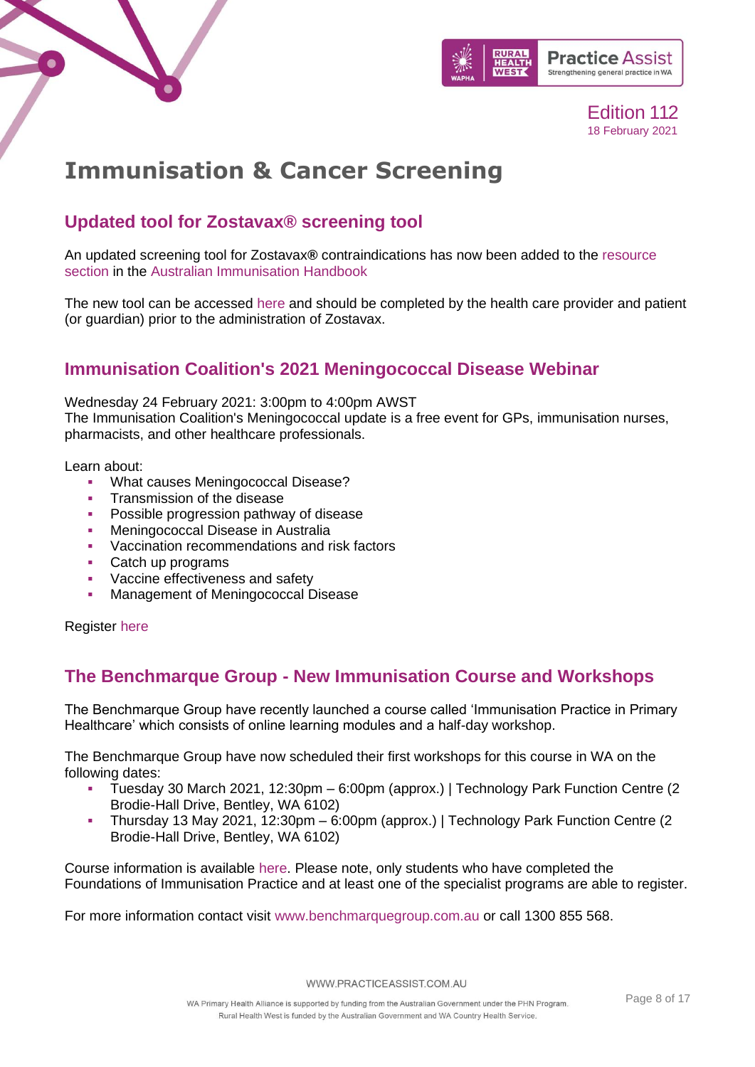



## <span id="page-7-0"></span>**Immunisation & Cancer Screening**

### **Updated tool for Zostavax® screening tool**

An updated screening tool for Zostavax**®** contraindications has now been added to the [resource](https://linkprotect.cudasvc.com/url?a=https%3a%2f%2fnps.us12.list-manage.com%2ftrack%2fclick%3fu%3de40693f37fa8893dc37684dad%26id%3d30a7de621c%26e%3dcc2faaf4ef&c=E,1,jgl_IbHLDxfclz-jZb-TSrIlPtoWJT4Gv4PFx-XoquEwA7_8StePW_mT8P8cJ0VOoQQTOjya1jWP6r6XKxbVqR8asZ0s5XtmJ5b0jhedkUjAzbE,&typo=1)  [section](https://linkprotect.cudasvc.com/url?a=https%3a%2f%2fnps.us12.list-manage.com%2ftrack%2fclick%3fu%3de40693f37fa8893dc37684dad%26id%3d30a7de621c%26e%3dcc2faaf4ef&c=E,1,jgl_IbHLDxfclz-jZb-TSrIlPtoWJT4Gv4PFx-XoquEwA7_8StePW_mT8P8cJ0VOoQQTOjya1jWP6r6XKxbVqR8asZ0s5XtmJ5b0jhedkUjAzbE,&typo=1) in the [Australian Immunisation Handbook](https://linkprotect.cudasvc.com/url?a=https%3a%2f%2fnps.us12.list-manage.com%2ftrack%2fclick%3fu%3de40693f37fa8893dc37684dad%26id%3d14a98c797d%26e%3dcc2faaf4ef&c=E,1,r695C-tOm5yiTHzX1vq3edvUBizi03MLFmPobM7vfSJkldICXLSKX1TTR1rz9DABFnQjme2RO8xwV7v0ZkTlumIUsJKCXGpn9PIuJobNcb82YBz-MRhEeWpuuw,,&typo=1)

The new tool can be accessed [here](https://immunisationhandbook.health.gov.au/resources/handbook-tables/table-live-shingles-vaccine-zostavax-screening-for-contraindications) and should be completed by the health care provider and patient (or guardian) prior to the administration of Zostavax.

### **Immunisation Coalition's 2021 Meningococcal Disease Webinar**

Wednesday 24 February 2021: 3:00pm to 4:00pm AWST

The Immunisation Coalition's Meningococcal update is a free event for GPs, immunisation nurses, pharmacists, and other healthcare professionals.

Learn about:

- **What causes Meningococcal Disease?**
- Transmission of the disease
- **Possible progression pathway of disease**
- Meningococcal Disease in Australia
- Vaccination recommendations and risk factors
- Catch up programs
- Vaccine effectiveness and safety
- Management of Meningococcal Disease

Register [here](https://mailchi.mp/399f58ae7211/immunisation-coalition-meningococcal-disease-webinar-986526?e=e33f0702ba)

### **The Benchmarque Group - New Immunisation Course and Workshops**

The Benchmarque Group have recently launched a course called 'Immunisation Practice in Primary Healthcare' which consists of online learning modules and a half-day workshop.

The Benchmarque Group have now scheduled their first workshops for this course in WA on the following dates:

- Tuesday 30 March 2021, 12:30pm 6:00pm (approx.) | Technology Park Function Centre (2 Brodie-Hall Drive, Bentley, WA 6102)
- Thursday 13 May 2021, 12:30pm 6:00pm (approx.) | Technology Park Function Centre (2 Brodie-Hall Drive, Bentley, WA 6102)

Course information is available [here.](https://www.benchmarquegroup.com.au/courses/immunisation-clinical-pathway) Please note, only students who have completed the Foundations of Immunisation Practice and at least one of the specialist programs are able to register.

For more information contact visit [www.benchmarquegroup.com.au](http://www.benchmarquegroup.com.au/) or call 1300 855 568.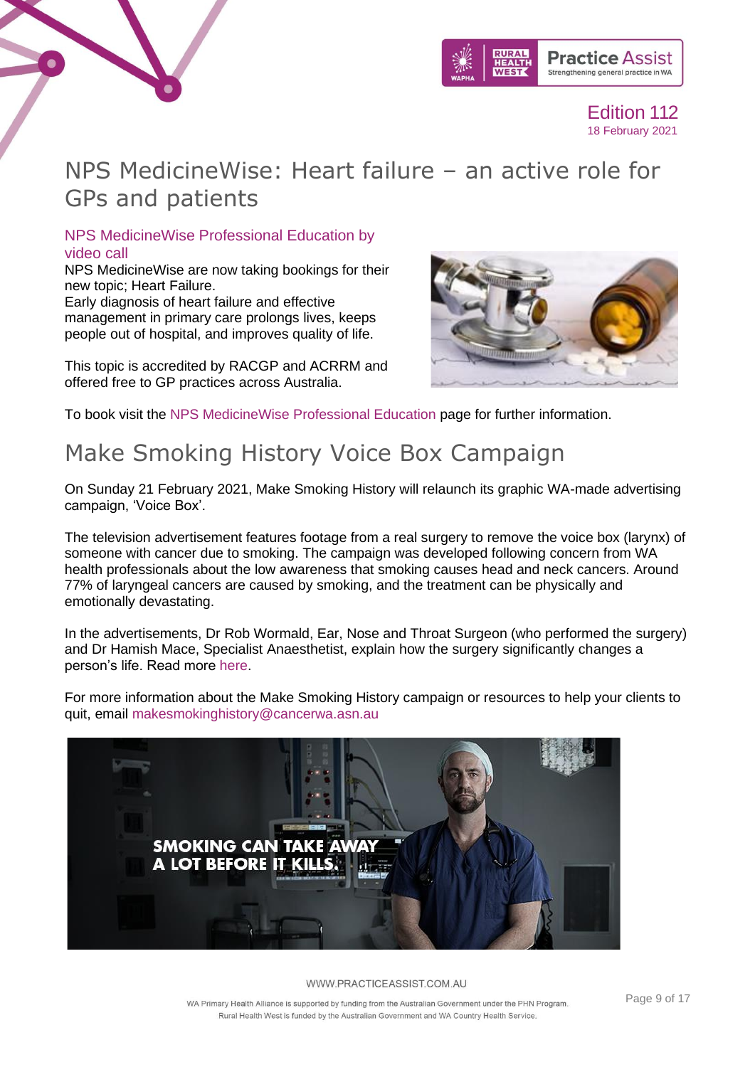

## <span id="page-8-0"></span>NPS MedicineWise: Heart failure – an active role for GPs and patients

### NPS MedicineWise Professional Education by video call

NPS MedicineWise are now taking bookings for their new topic; Heart Failure. Early diagnosis of heart failure and effective management in primary care prolongs lives, keeps people out of hospital, and improves quality of life.

This topic is accredited by RACGP and ACRRM and offered free to GP practices across Australia.



To book visit the [NPS MedicineWise Professional Education](https://www.nps.org.au/cpd/activities/heart-failure-an-active-role-for-gps-and-patients?profession=GPs) page for further information.

## <span id="page-8-1"></span>Make Smoking History Voice Box Campaign

On Sunday 21 February 2021, Make Smoking History will relaunch its graphic WA-made advertising campaign, 'Voice Box'.

The television advertisement features footage from a real surgery to remove the voice box (larynx) of someone with cancer due to smoking. The campaign was developed following concern from WA health professionals about the low awareness that smoking causes head and neck cancers. Around 77% of laryngeal cancers are caused by smoking, and the treatment can be physically and emotionally devastating.

In the advertisements, Dr Rob Wormald, Ear, Nose and Throat Surgeon (who performed the surgery) and Dr Hamish Mace, Specialist Anaesthetist, explain how the surgery significantly changes a person's life. Read more [here.](https://www.practiceassist.com.au/PracticeAssist/media/Practice-Connect/Make-Smoking-History-Voice-Box-newsletter-inclusion.pdf)

For more information about the Make Smoking History campaign or resources to help your clients to quit, email [makesmokinghistory@cancerwa.asn.au](mailto:makesmokinghistory@cancerwa.asn.au)



#### WWW.PRACTICEASSIST.COM.AU

WA Primary Health Alliance is supported by funding from the Australian Government under the PHN Program. Rural Health West is funded by the Australian Government and WA Country Health Service.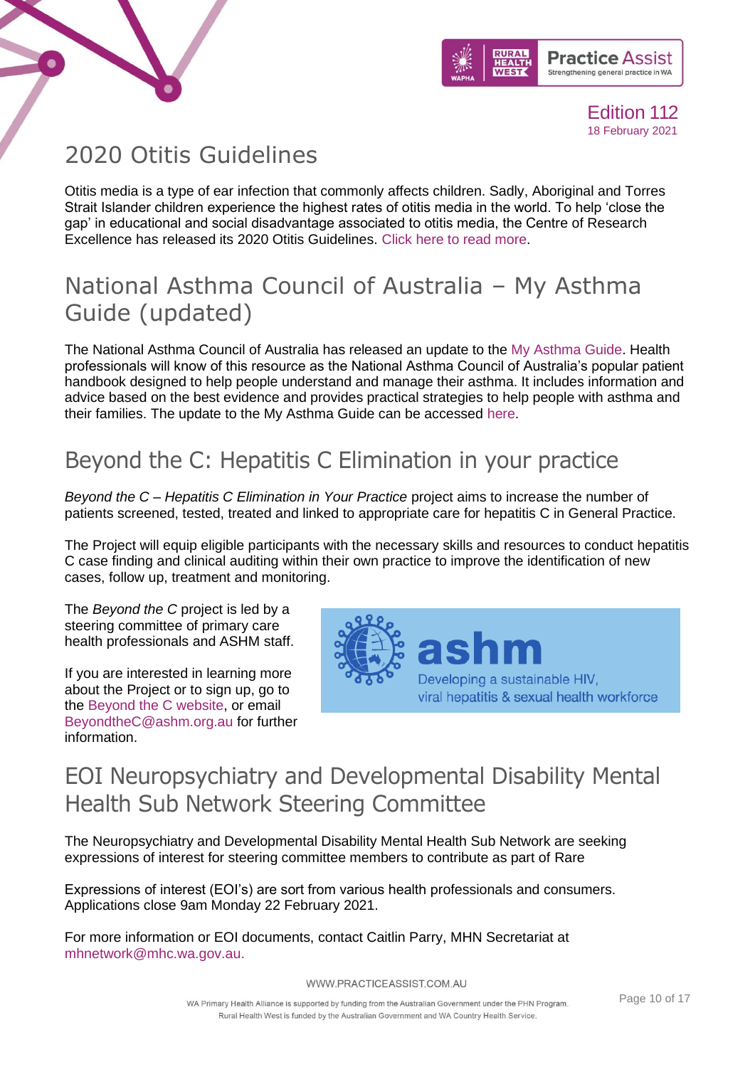



## <span id="page-9-0"></span>2020 Otitis Guidelines

Otitis media is a type of ear infection that commonly affects children. Sadly, Aboriginal and Torres Strait Islander children experience the highest rates of otitis media in the world. To help 'close the gap' in educational and social disadvantage associated to otitis media, the Centre of Research Excellence has released its 2020 Otitis Guidelines. [Click here to read more.](https://otitismediaguidelines.com/#/start-main)

## <span id="page-9-1"></span>National Asthma Council of Australia – My Asthma Guide (updated)

The National Asthma Council of Australia has released an update to the [My Asthma Guide.](https://linkprotect.cudasvc.com/url?a=https%3a%2f%2fwww.nationalasthma.org.au%2fliving-with-asthma%2fresources%2fpatients-carers%2fbrochures%2fmy-asthma-guide&c=E,1,XDO6N0hjBblssDpqjGtHtw5mMhB5qTuqeC1c2VsU_42ibnTcEL8Av4d9oXj9ICui9ePVPE5GkJ9FsxU7wq_nMY77bC7wDW3dNCD1pKdDxntfgpZp&typo=1) Health professionals will know of this resource as the National Asthma Council of Australia's popular patient handbook designed to help people understand and manage their asthma. It includes information and advice based on the best evidence and provides practical strategies to help people with asthma and their families. The update to the My Asthma Guide can be accessed [here.](https://linkprotect.cudasvc.com/url?a=https%3a%2f%2fwww.nationalasthma.org.au%2fliving-with-asthma%2fresources%2fpatients-carers%2fbrochures%2fmy-asthma-guide&c=E,1,xMoE7XjTR88TOZdTgFKXHJvUBHuo8CGF0T2WBYKM2l7cSey9eIFoW39Bqd_Zv8W9-5R0dauM0HGq5CY8t859ZNiNJhVppcblYf23H8KAURySwYGx1ws,&typo=1)

## <span id="page-9-2"></span>Beyond the C: Hepatitis C Elimination in your practice

*Beyond the C – Hepatitis C Elimination in Your Practice* project aims to increase the number of patients screened, tested, treated and linked to appropriate care for hepatitis C in General Practice.

The Project will equip eligible participants with the necessary skills and resources to conduct hepatitis C case finding and clinical auditing within their own practice to improve the identification of new cases, follow up, treatment and monitoring.

The *Beyond the C* project is led by a steering committee of primary care health professionals and ASHM staff.

If you are interested in learning more about the Project or to sign up, go to the [Beyond the C website,](http://beyondthec.com.au/) or email [BeyondtheC@ashm.org.au](mailto:BeyondtheC@ashm.org.au) for further information.



## <span id="page-9-3"></span>EOI Neuropsychiatry and Developmental Disability Mental Health Sub Network Steering Committee

The Neuropsychiatry and Developmental Disability Mental Health Sub Network are seeking expressions of interest for steering committee members to contribute as part of Rare

Expressions of interest (EOI's) are sort from various health professionals and consumers. Applications close 9am Monday 22 February 2021.

For more information or EOI documents, contact Caitlin Parry, MHN Secretariat at [mhnetwork@mhc.wa.gov.au.](mailto:mhnetwork@mhc.wa.gov.au)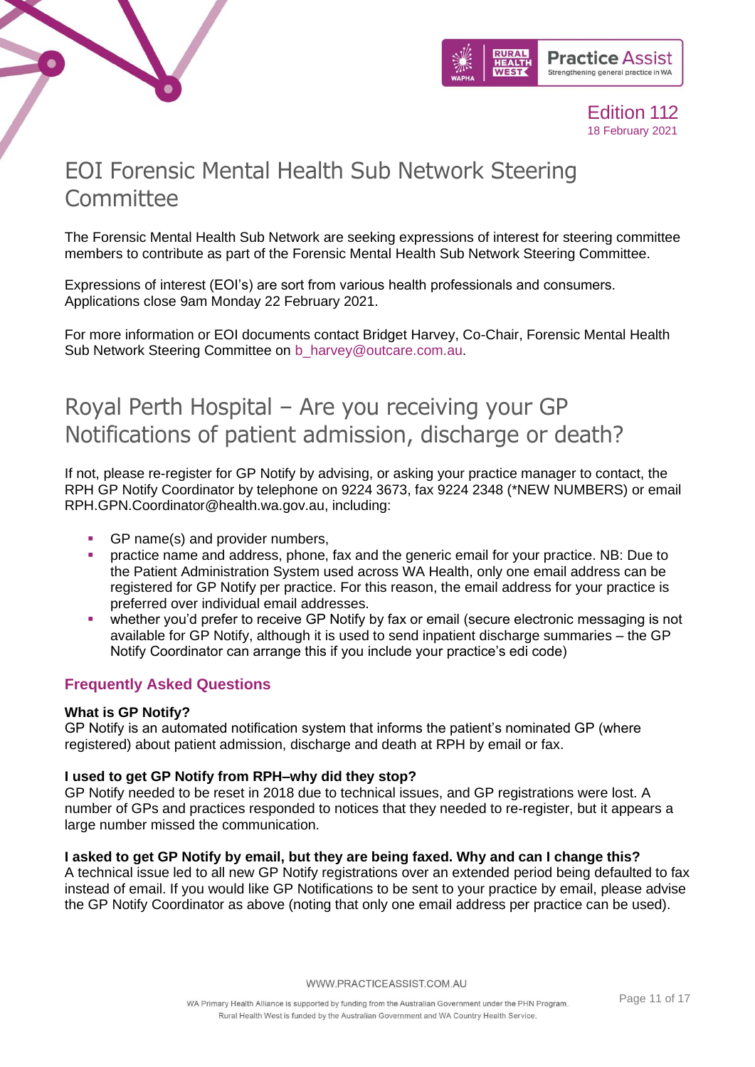



## <span id="page-10-0"></span>EOI Forensic Mental Health Sub Network Steering **Committee**

The Forensic Mental Health Sub Network are seeking expressions of interest for steering committee members to contribute as part of the Forensic Mental Health Sub Network Steering Committee.

Expressions of interest (EOI's) are sort from various health professionals and consumers. Applications close 9am Monday 22 February 2021.

For more information or EOI documents contact Bridget Harvey, Co-Chair, Forensic Mental Health Sub Network Steering Committee on [b\\_harvey@outcare.com.au.](mailto:b_harvey@outcare.com.au)

## <span id="page-10-1"></span>Royal Perth Hospital – Are you receiving your GP Notifications of patient admission, discharge or death?

If not, please re-register for GP Notify by advising, or asking your practice manager to contact, the RPH GP Notify Coordinator by telephone on 9224 3673, fax 9224 2348 (\*NEW NUMBERS) or email RPH.GPN.Coordinator@health.wa.gov.au, including:

- GP name(s) and provider numbers,
- practice name and address, phone, fax and the generic email for your practice. NB: Due to the Patient Administration System used across WA Health, only one email address can be registered for GP Notify per practice. For this reason, the email address for your practice is preferred over individual email addresses.
- whether you'd prefer to receive GP Notify by fax or email (secure electronic messaging is not available for GP Notify, although it is used to send inpatient discharge summaries – the GP Notify Coordinator can arrange this if you include your practice's edi code)

### **Frequently Asked Questions**

### **What is GP Notify?**

GP Notify is an automated notification system that informs the patient's nominated GP (where registered) about patient admission, discharge and death at RPH by email or fax.

### **I used to get GP Notify from RPH–why did they stop?**

GP Notify needed to be reset in 2018 due to technical issues, and GP registrations were lost. A number of GPs and practices responded to notices that they needed to re-register, but it appears a large number missed the communication.

### **I asked to get GP Notify by email, but they are being faxed. Why and can I change this?**

A technical issue led to all new GP Notify registrations over an extended period being defaulted to fax instead of email. If you would like GP Notifications to be sent to your practice by email, please advise the GP Notify Coordinator as above (noting that only one email address per practice can be used).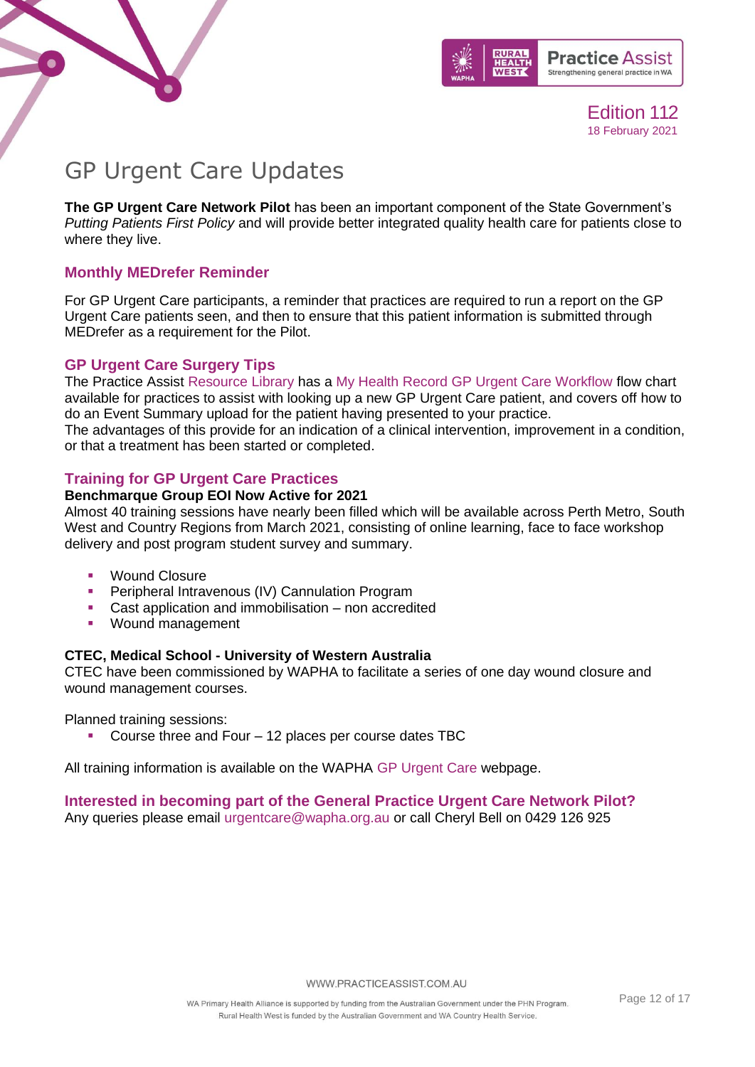



## <span id="page-11-0"></span>GP Urgent Care Updates

**The GP Urgent Care Network Pilot** has been an important component of the State Government's *Putting Patients First Policy* and will provide better integrated quality health care for patients close to where they live.

### **Monthly MEDrefer Reminder**

For GP Urgent Care participants, a reminder that practices are required to run a report on the GP Urgent Care patients seen, and then to ensure that this patient information is submitted through MEDrefer as a requirement for the Pilot.

### **GP Urgent Care Surgery Tips**

The Practice Assist [Resource Library](https://www.practiceassist.com.au/Resource-Library) has a My Health Record [GP Urgent Care Workflow](https://www.practiceassist.com.au/PracticeAssist/media/ResourceLibrary/My-Health-Record-GP-Urgent-Care-Practice-Workflow-Scenario-2-V5.pdf) flow chart available for practices to assist with looking up a new GP Urgent Care patient, and covers off how to do an Event Summary upload for the patient having presented to your practice.

The advantages of this provide for an indication of a clinical intervention, improvement in a condition, or that a treatment has been started or completed.

### **Training for GP Urgent Care Practices**

### **Benchmarque Group EOI Now Active for 2021**

Almost 40 training sessions have nearly been filled which will be available across Perth Metro, South West and Country Regions from March 2021, consisting of online learning, face to face workshop delivery and post program student survey and summary.

- **Wound Closure**
- Peripheral Intravenous (IV) Cannulation Program
- Cast application and immobilisation non accredited
- Wound management

### **CTEC, Medical School - University of Western Australia**

CTEC have been commissioned by WAPHA to facilitate a series of one day wound closure and wound management courses.

Planned training sessions:

Course three and Four  $-12$  places per course dates TBC

All training information is available on the WAPHA [GP Urgent Care](https://www.wapha.org.au/health-professionals/gp-urgent-care/) webpage.

### **Interested in becoming part of the General Practice Urgent Care Network Pilot?**

Any queries please email [urgentcare@wapha.org.au](mailto:urgentcare@wapha.org.au) or call Cheryl Bell on 0429 126 925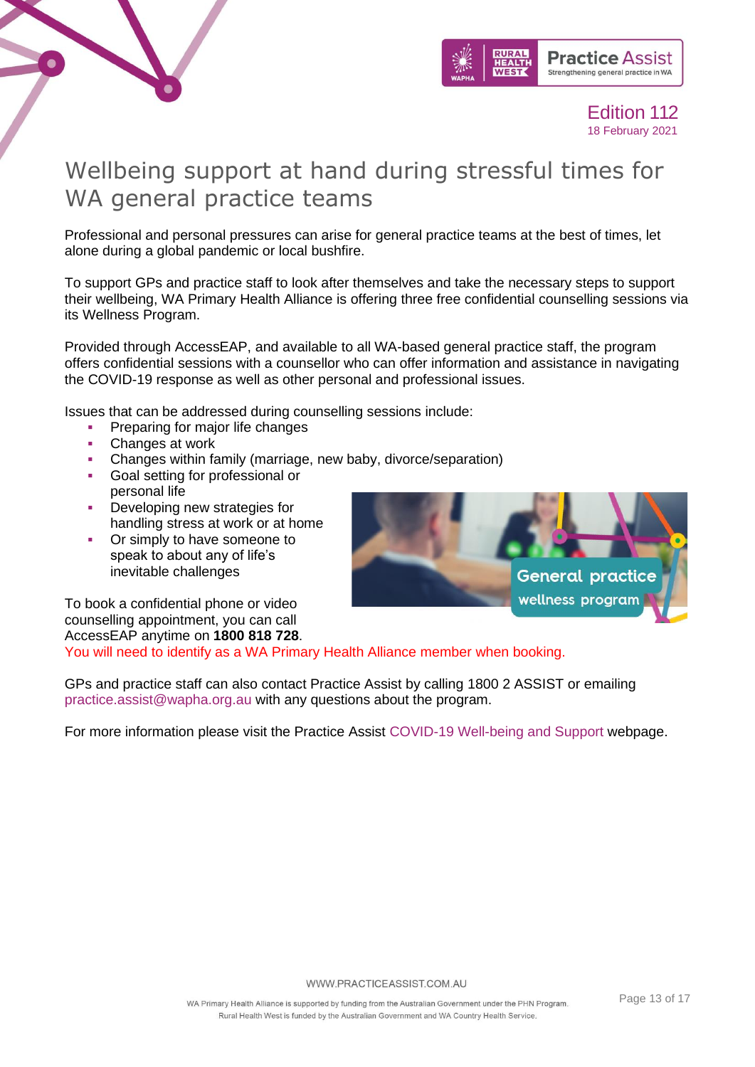



## <span id="page-12-0"></span>Wellbeing support at hand during stressful times for WA general practice teams

Professional and personal pressures can arise for general practice teams at the best of times, let alone during a global pandemic or local bushfire.

To support GPs and practice staff to look after themselves and take the necessary steps to support their wellbeing, WA Primary Health Alliance is offering three free confidential counselling sessions via its Wellness Program.

Provided through AccessEAP, and available to all WA-based general practice staff, the program offers confidential sessions with a counsellor who can offer information and assistance in navigating the COVID-19 response as well as other personal and professional issues.

Issues that can be addressed during counselling sessions include:

- Preparing for major life changes
- Changes at work
- Changes within family (marriage, new baby, divorce/separation)
- Goal setting for professional or personal life
- **•** Developing new strategies for handling stress at work or at home
- Or simply to have someone to speak to about any of life's inevitable challenges



To book a confidential phone or video counselling appointment, you can call AccessEAP anytime on **1800 818 728**.

You will need to identify as a WA Primary Health Alliance member when booking.

GPs and practice staff can also contact Practice Assist by calling 1800 2 ASSIST or emailing [practice.assist@wapha.org.au](mailto:practice.assist@wapha.org.au) with any questions about the program.

For more information please visit the Practice Assist [COVID-19 Well-being and Support](https://www.practiceassist.com.au/Coronavirus-COVID19/Well-being-and-Support) webpage.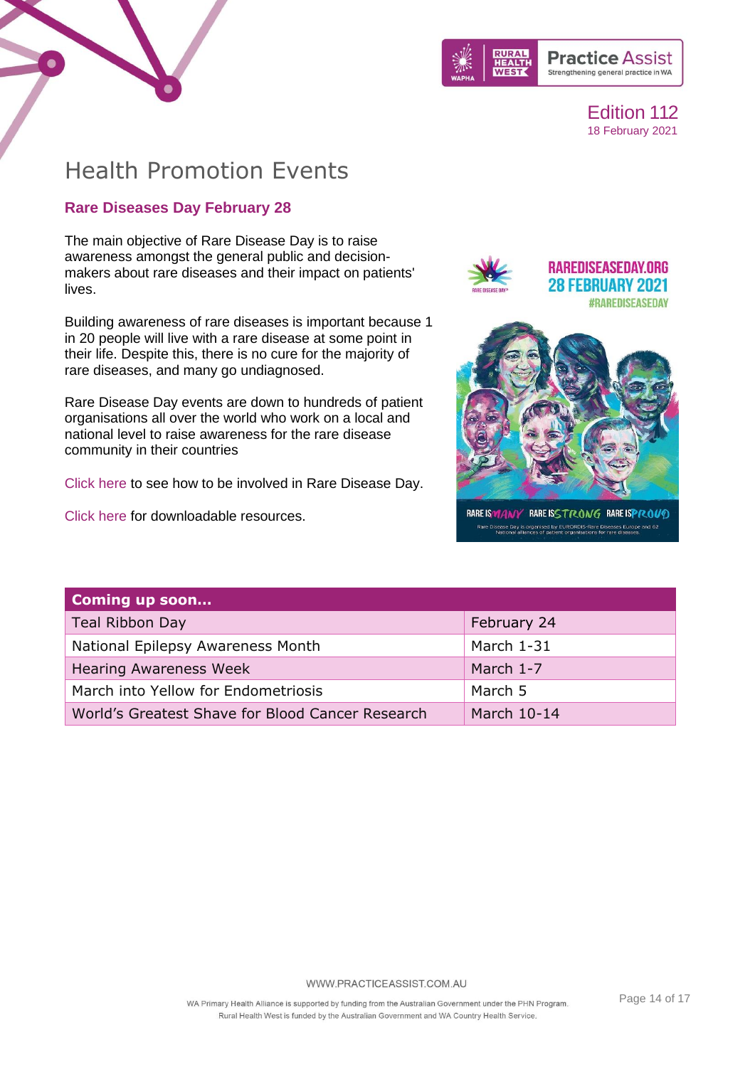



## Health Promotion Events

### **Rare Diseases Day February 28**

The main objective of Rare Disease Day is to raise awareness amongst the general public and decisionmakers about rare diseases and their impact on patients' lives.

Building awareness of rare diseases is important because 1 in 20 people will live with a rare disease at some point in their life. Despite this, there is no cure for the majority of rare diseases, and many go undiagnosed.

Rare Disease Day events are down to hundreds of patient organisations all over the world who work on a local and national level to raise awareness for the rare disease community in their countries

[Click here](https://www.rarediseaseday.org/article/get-involved) to see how to be involved in Rare Disease Day.

[Click here](https://www.rarediseaseday.org/downloads) for downloadable resources.



RARE IS MANY RARE ISSTRONG RARE ISPROUD Rare Disease Day is organised by EURORDIS-Rare Diseases Europe and 62<br>National alliances of patient organisations for rare diseases.

| Coming up soon                                   |             |
|--------------------------------------------------|-------------|
| Teal Ribbon Day                                  | February 24 |
| National Epilepsy Awareness Month                | March 1-31  |
| <b>Hearing Awareness Week</b>                    | March 1-7   |
| March into Yellow for Endometriosis              | March 5     |
| World's Greatest Shave for Blood Cancer Research | March 10-14 |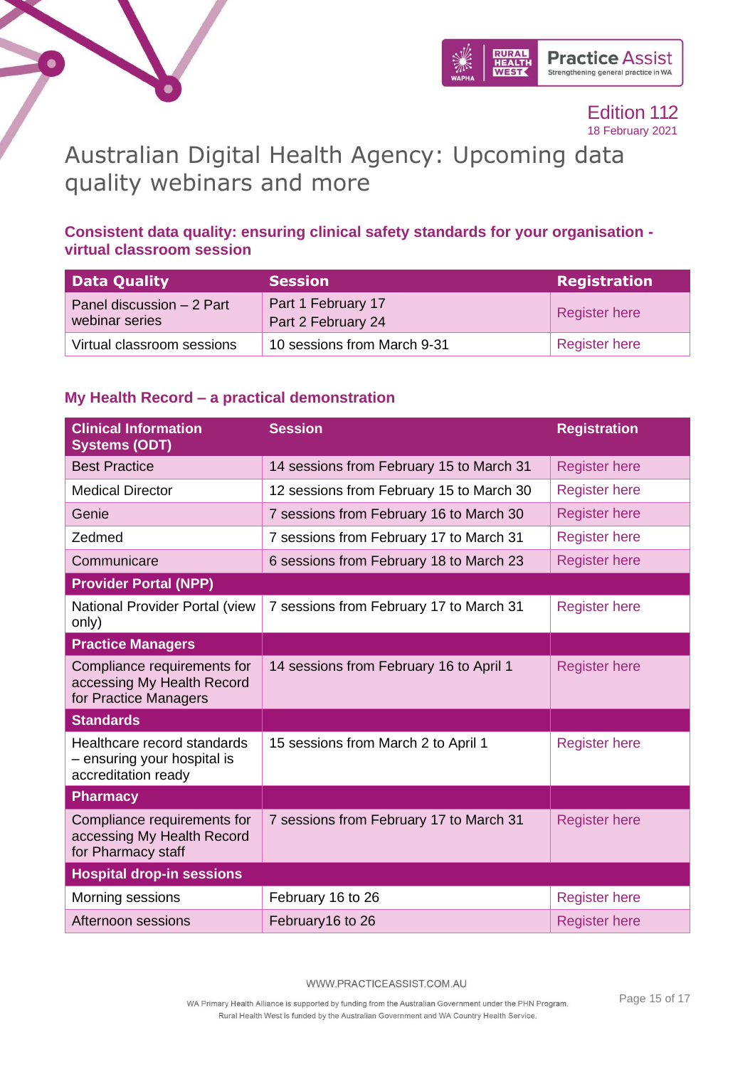



## <span id="page-14-0"></span>Australian Digital Health Agency: Upcoming data quality webinars and more

### **Consistent data quality: ensuring clinical safety standards for your organisation virtual classroom session**

| Data Quality                                | <b>Session</b>                           | <b>Registration</b>  |
|---------------------------------------------|------------------------------------------|----------------------|
| Panel discussion - 2 Part<br>webinar series | Part 1 February 17<br>Part 2 February 24 | Register here        |
| Virtual classroom sessions                  | 10 sessions from March 9-31              | <b>Register here</b> |

### **My Health Record – a practical demonstration**

| <b>Clinical Information</b><br><b>Systems (ODT)</b>                                | <b>Session</b>                           | <b>Registration</b>  |
|------------------------------------------------------------------------------------|------------------------------------------|----------------------|
| <b>Best Practice</b>                                                               | 14 sessions from February 15 to March 31 | <b>Register here</b> |
| <b>Medical Director</b>                                                            | 12 sessions from February 15 to March 30 | <b>Register here</b> |
| Genie                                                                              | 7 sessions from February 16 to March 30  | <b>Register here</b> |
| Zedmed                                                                             | 7 sessions from February 17 to March 31  | <b>Register here</b> |
| Communicare                                                                        | 6 sessions from February 18 to March 23  | <b>Register here</b> |
| <b>Provider Portal (NPP)</b>                                                       |                                          |                      |
| National Provider Portal (view<br>only)                                            | 7 sessions from February 17 to March 31  | <b>Register here</b> |
| <b>Practice Managers</b>                                                           |                                          |                      |
| Compliance requirements for<br>accessing My Health Record<br>for Practice Managers | 14 sessions from February 16 to April 1  | <b>Register here</b> |
| <b>Standards</b>                                                                   |                                          |                      |
| Healthcare record standards<br>- ensuring your hospital is<br>accreditation ready  | 15 sessions from March 2 to April 1      | <b>Register here</b> |
| <b>Pharmacy</b>                                                                    |                                          |                      |
| Compliance requirements for<br>accessing My Health Record<br>for Pharmacy staff    | 7 sessions from February 17 to March 31  | <b>Register here</b> |
| <b>Hospital drop-in sessions</b>                                                   |                                          |                      |
| Morning sessions                                                                   | February 16 to 26                        | <b>Register here</b> |
| Afternoon sessions                                                                 | February16 to 26                         | <b>Register here</b> |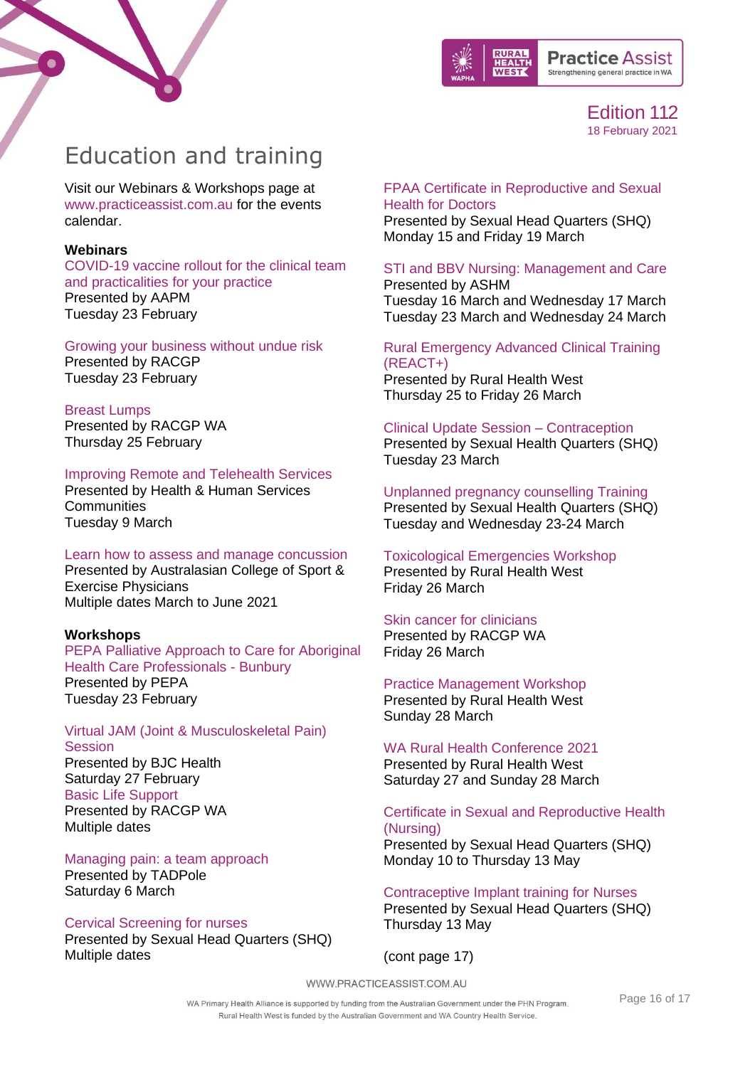



## <span id="page-15-0"></span>Education and training

Visit our Webinars & Workshops page at [www.practiceassist.com.au](http://www.practiceassist.com.au/) for the events calendar.

#### **Webinars**

[COVID-19 vaccine rollout for the clinical team](https://www.aapm.org.au/Education-and-Networking/Book-Event/SelectedEventId/1043)  [and practicalities for your practice](https://www.aapm.org.au/Education-and-Networking/Book-Event/SelectedEventId/1043) [Presented by AAPM](https://www.aapm.org.au/Education-and-Networking/Book-Event/SelectedEventId/1043) [Tuesday 23 February](https://www.aapm.org.au/Education-and-Networking/Book-Event/SelectedEventId/1043)

[Growing your business without undue risk](https://www.racgp.org.au/racgp-digital-events-calendar/online-event-items/webinars/growing-your-business-without-undue-risk)  [Presented by RACGP](https://www.racgp.org.au/racgp-digital-events-calendar/online-event-items/webinars/growing-your-business-without-undue-risk)  [Tuesday 23 February](https://www.racgp.org.au/racgp-digital-events-calendar/online-event-items/webinars/growing-your-business-without-undue-risk) 

#### [Breast Lumps](https://www.racgp.org.au/racgp-digital-events-calendar/online-event-items/webinars/breast-lumps)

[Presented by RACGP WA](https://www.racgp.org.au/racgp-digital-events-calendar/online-event-items/webinars/breast-lumps) [Thursday 25 February](https://www.racgp.org.au/racgp-digital-events-calendar/online-event-items/webinars/breast-lumps) 

### [Improving Remote and Telehealth Services](https://event.publicsectornetwork.co/2021-au-community-health-and-human-services/registration/Site/Register?utm_campaign=Health%20and%20Human%20Services%20Community%20Newsletter%202021&utm_medium=email&_hsmi=111503290&_hsenc=p2ANqtz--DDm1Z8VZMQLdVuCxtUPy5_SUA_42BMmvipRWQAks84BSXpU6Aas-fGopa0K3IFxCRhMs49haY3XHY4i4kfhHvkiTVWfbcmh5K4iN5iLzMzDd-9PM&utm_content=111503290&utm_source=hs_email)

[Presented by Health & Human Services](https://event.publicsectornetwork.co/2021-au-community-health-and-human-services/registration/Site/Register?utm_campaign=Health%20and%20Human%20Services%20Community%20Newsletter%202021&utm_medium=email&_hsmi=111503290&_hsenc=p2ANqtz--DDm1Z8VZMQLdVuCxtUPy5_SUA_42BMmvipRWQAks84BSXpU6Aas-fGopa0K3IFxCRhMs49haY3XHY4i4kfhHvkiTVWfbcmh5K4iN5iLzMzDd-9PM&utm_content=111503290&utm_source=hs_email)  **[Communities](https://event.publicsectornetwork.co/2021-au-community-health-and-human-services/registration/Site/Register?utm_campaign=Health%20and%20Human%20Services%20Community%20Newsletter%202021&utm_medium=email&_hsmi=111503290&_hsenc=p2ANqtz--DDm1Z8VZMQLdVuCxtUPy5_SUA_42BMmvipRWQAks84BSXpU6Aas-fGopa0K3IFxCRhMs49haY3XHY4i4kfhHvkiTVWfbcmh5K4iN5iLzMzDd-9PM&utm_content=111503290&utm_source=hs_email)** [Tuesday 9 March](https://event.publicsectornetwork.co/2021-au-community-health-and-human-services/registration/Site/Register?utm_campaign=Health%20and%20Human%20Services%20Community%20Newsletter%202021&utm_medium=email&_hsmi=111503290&_hsenc=p2ANqtz--DDm1Z8VZMQLdVuCxtUPy5_SUA_42BMmvipRWQAks84BSXpU6Aas-fGopa0K3IFxCRhMs49haY3XHY4i4kfhHvkiTVWfbcmh5K4iN5iLzMzDd-9PM&utm_content=111503290&utm_source=hs_email)

### [Learn how to assess and manage concussion](https://us02web.zoom.us/webinar/register/WN_aDa3V9ylRUGoWF3IErc-CQ)

[Presented by Australasian College of Sport &](https://us02web.zoom.us/webinar/register/WN_aDa3V9ylRUGoWF3IErc-CQ)  [Exercise Physicians](https://us02web.zoom.us/webinar/register/WN_aDa3V9ylRUGoWF3IErc-CQ) [Multiple dates March to June 2021](https://us02web.zoom.us/webinar/register/WN_aDa3V9ylRUGoWF3IErc-CQ)

#### **Workshops**

[PEPA Palliative Approach to Care for Aboriginal](https://www.cancerwa.asn.au/articles/calendar-health-professional-training-seminars-and/pepa-palliative-approach-to-care-for-aboriginal-he/)  [Health Care Professionals -](https://www.cancerwa.asn.au/articles/calendar-health-professional-training-seminars-and/pepa-palliative-approach-to-care-for-aboriginal-he/) Bunbury [Presented by PEPA](https://www.cancerwa.asn.au/articles/calendar-health-professional-training-seminars-and/pepa-palliative-approach-to-care-for-aboriginal-he/) [Tuesday 23 February](https://www.cancerwa.asn.au/articles/calendar-health-professional-training-seminars-and/pepa-palliative-approach-to-care-for-aboriginal-he/)

[Virtual JAM \(Joint & Musculoskeletal Pain\)](https://www.bjchealth.com.au/jam)  **[Session](https://www.bjchealth.com.au/jam)** [Presented by BJC Health](https://www.bjchealth.com.au/jam) [Saturday 27 February](https://www.bjchealth.com.au/jam) [Basic Life Support](https://www.racgp.org.au/education/courses/racgpevents/wa/) [Presented by RACGP WA](https://www.racgp.org.au/education/courses/racgpevents/wa/)  [Multiple dates](https://www.racgp.org.au/education/courses/racgpevents/wa/)

#### [Managing pain: a team approach](https://www.practiceassist.com.au/PracticeAssist/media/Practice-Connect/Pain-Event-6-March-2021-(2).pdf)

[Presented by TADPole](https://www.practiceassist.com.au/PracticeAssist/media/Practice-Connect/Pain-Event-6-March-2021-(2).pdf) [Saturday 6 March](https://www.practiceassist.com.au/PracticeAssist/media/Practice-Connect/Pain-Event-6-March-2021-(2).pdf)

#### [Cervical Screening for nurses](https://shq.org.au/course/certificate-nursing-cervical-screening-only/)

Presented by Sexual Head Quarters (SHQ) Multiple dates

### [FPAA Certificate in Reproductive and Sexual](https://shq.org.au/course/doctors-certificate/)  [Health for Doctors](https://shq.org.au/course/doctors-certificate/)

Presented by Sexual Head Quarters (SHQ) Monday 15 and Friday 19 March

#### [STI and BBV Nursing: Management and Care](https://ashm.org.au/eventinforeg2/?id=95cf1a1f-d040-eb11-a813-000d3ae15585) [Presented by](https://ashm.org.au/eventinforeg2/?id=95cf1a1f-d040-eb11-a813-000d3ae15585) ASHM

[Tuesday 16 March and Wednesday 17 March](https://ashm.org.au/eventinforeg2/?id=95cf1a1f-d040-eb11-a813-000d3ae15585) [Tuesday 23 March and Wednesday 24 March](https://ashm.org.au/eventinforeg2/?id=95cf1a1f-d040-eb11-a813-000d3ae15585)

### [Rural Emergency Advanced Clinical Training](https://www.ruralhealthwest.com.au/general-practice/professional-development/conferences-events/2021/03/25/default-calendar/rural-emergency-advanced-clinical-training-(react-)---perth)  [\(REACT+\)](https://www.ruralhealthwest.com.au/general-practice/professional-development/conferences-events/2021/03/25/default-calendar/rural-emergency-advanced-clinical-training-(react-)---perth) [Presented by Rural Health West](https://www.ruralhealthwest.com.au/general-practice/professional-development/conferences-events/2021/03/25/default-calendar/rural-emergency-advanced-clinical-training-(react-)---perth)

[Thursday 25 to Friday 26 March](https://www.ruralhealthwest.com.au/general-practice/professional-development/conferences-events/2021/03/25/default-calendar/rural-emergency-advanced-clinical-training-(react-)---perth)

### [Clinical Update Session –](https://shq.org.au/course/clinical-update-contraception/) Contraception

Presented by Sexual Health Quarters (SHQ) Tuesday 23 March

### [Unplanned pregnancy counselling Training](https://shq.org.au/course/clinical-update-session-unplanned-pregnancy/) Presented by Sexual Health Quarters (SHQ)

Tuesday and Wednesday 23-24 March

#### [Toxicological Emergencies Workshop](https://www.ruralhealthwest.com.au/general-practice/professional-development/conferences-events/2021/03/26/default-calendar/toxicological-emergencies-(tox)---perth) [Presented by Rural Health West](https://www.ruralhealthwest.com.au/general-practice/professional-development/conferences-events/2021/03/26/default-calendar/toxicological-emergencies-(tox)---perth) [Friday 26 March](https://www.ruralhealthwest.com.au/general-practice/professional-development/conferences-events/2021/03/26/default-calendar/toxicological-emergencies-(tox)---perth)

#### [Skin cancer for clinicians](https://www.racgp.org.au/FSDEDEV/media/Faculty-Events/WA2021_35.pdf)

Presented by RACGP WA Friday 26 March

#### [Practice Management Workshop](https://ruralhealthwest.eventsair.com/2021-wa-rhc/practice-management-workshop)

[Presented by Rural Health West](https://ruralhealthwest.eventsair.com/2021-wa-rhc/practice-management-workshop) [Sunday 28 March](https://ruralhealthwest.eventsair.com/2021-wa-rhc/practice-management-workshop)

#### [WA Rural Health Conference 2021](https://ruralhealthwest.eventsair.com/2021-wa-rhc/) [Presented by Rural Health West](https://ruralhealthwest.eventsair.com/2021-wa-rhc/) [Saturday 27 and Sunday 28 March](https://ruralhealthwest.eventsair.com/2021-wa-rhc/)

### [Certificate in Sexual and Reproductive Health](https://shq.org.au/course/certificate-nursing/)  [\(Nursing\)](https://shq.org.au/course/certificate-nursing/)

Presented by Sexual Head Quarters (SHQ) Monday 10 to Thursday 13 May

#### [Contraceptive Implant training for Nurses](https://shq.org.au/education/courses/) Presented by Sexual Head Quarters (SHQ) Thursday 13 May

### (cont page 17)

WWW.PRACTICEASSIST.COM.AU

WA Primary Health Alliance is supported by funding from the Australian Government under the PHN Program. Rural Health West is funded by the Australian Government and WA Country Health Service.